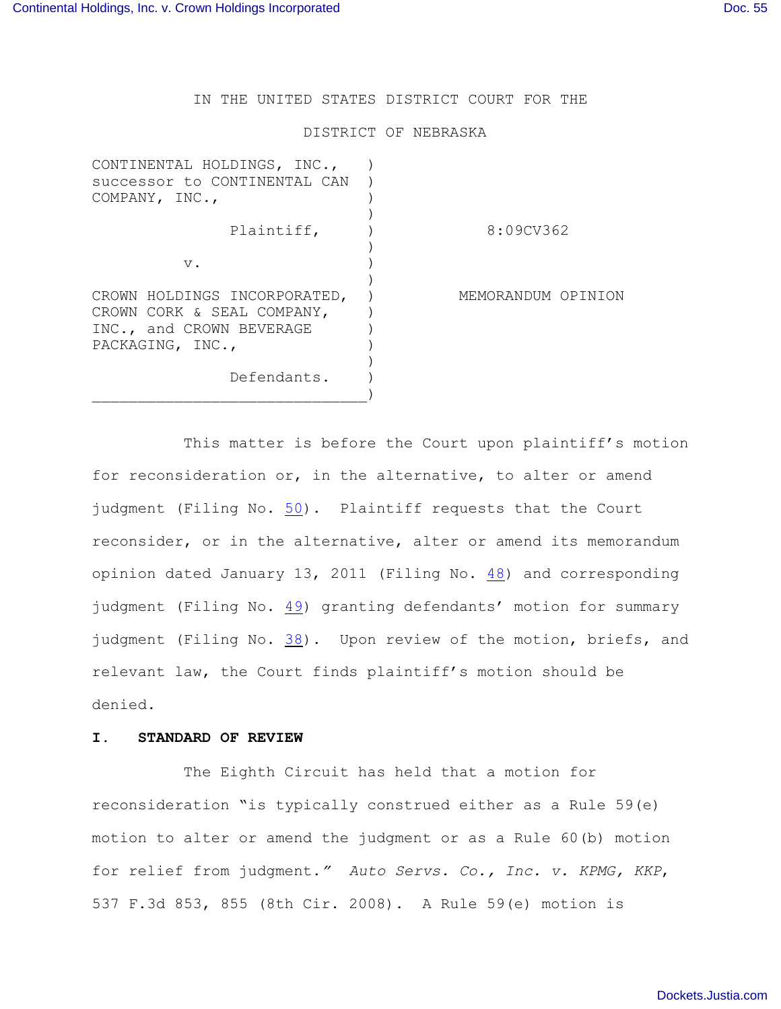IN THE UNITED STATES DISTRICT COURT FOR THE

#### DISTRICT OF NEBRASKA

| CONTINENTAL HOLDINGS, INC.,<br>successor to CONTINENTAL CAN<br>COMPANY, INC.,                              |                    |
|------------------------------------------------------------------------------------------------------------|--------------------|
| Plaintiff,                                                                                                 | 8:09CV362          |
| v.                                                                                                         |                    |
| CROWN HOLDINGS INCORPORATED,<br>CROWN CORK & SEAL COMPANY,<br>INC., and CROWN BEVERAGE<br>PACKAGING, INC., | MEMORANDUM OPINION |
| Defendants.                                                                                                |                    |

This matter is before the Court upon plaintiff's motion for reconsideration or, in the alternative, to alter or amend judgment (Filing No. [50](http://ecf.ned.uscourts.gov/doc1/11302194732)). Plaintiff requests that the Court reconsider, or in the alternative, alter or amend its memorandum opinion dated January 13, 2011 (Filing No. [48](http://ecf.ned.uscourts.gov/doc1/11302183866)) and corresponding judgment (Filing No. [49](http://ecf.ned.uscourts.gov/doc1/11302183895)) granting defendants' motion for summary judgment (Filing No. [38](http://ecf.ned.uscourts.gov/doc1/11302154594)). Upon review of the motion, briefs, and relevant law, the Court finds plaintiff's motion should be denied.

### **I. STANDARD OF REVIEW**

The Eighth Circuit has held that a motion for reconsideration "is typically construed either as a Rule 59(e) motion to alter or amend the judgment or as a Rule 60(b) motion for relief from judgment.*" Auto Servs. Co., Inc. v. KPMG, KKP*, 537 F.3d 853, 855 (8th Cir. 2008). A Rule 59(e) motion is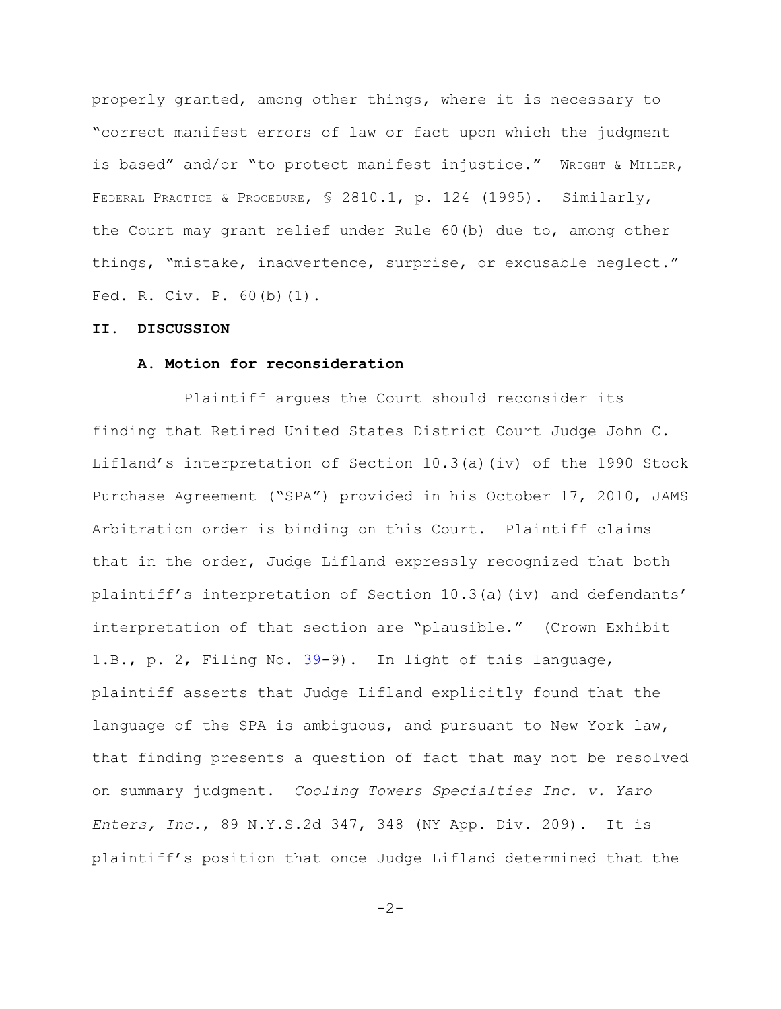properly granted, among other things, where it is necessary to "correct manifest errors of law or fact upon which the judgment is based" and/or "to protect manifest injustice." WRIGHT & MILLER, FEDERAL PRACTICE & PROCEDURE, § 2810.1, p. 124 (1995). Similarly, the Court may grant relief under Rule 60(b) due to, among other things, "mistake, inadvertence, surprise, or excusable neglect." Fed. R. Civ. P. 60(b)(1).

### **II. DISCUSSION**

# **A. Motion for reconsideration**

Plaintiff argues the Court should reconsider its finding that Retired United States District Court Judge John C. Lifland's interpretation of Section 10.3(a)(iv) of the 1990 Stock Purchase Agreement ("SPA") provided in his October 17, 2010, JAMS Arbitration order is binding on this Court. Plaintiff claims that in the order, Judge Lifland expressly recognized that both plaintiff's interpretation of Section 10.3(a)(iv) and defendants' interpretation of that section are "plausible." (Crown Exhibit 1.B., p. 2, Filing No. [39](http://ecf.ned.uscourts.gov/doc1/11302154629)-9). In light of this language, plaintiff asserts that Judge Lifland explicitly found that the language of the SPA is ambiguous, and pursuant to New York law, that finding presents a question of fact that may not be resolved on summary judgment. *Cooling Towers Specialties Inc. v. Yaro Enters, Inc.*, 89 N.Y.S.2d 347, 348 (NY App. Div. 209). It is plaintiff's position that once Judge Lifland determined that the

 $-2-$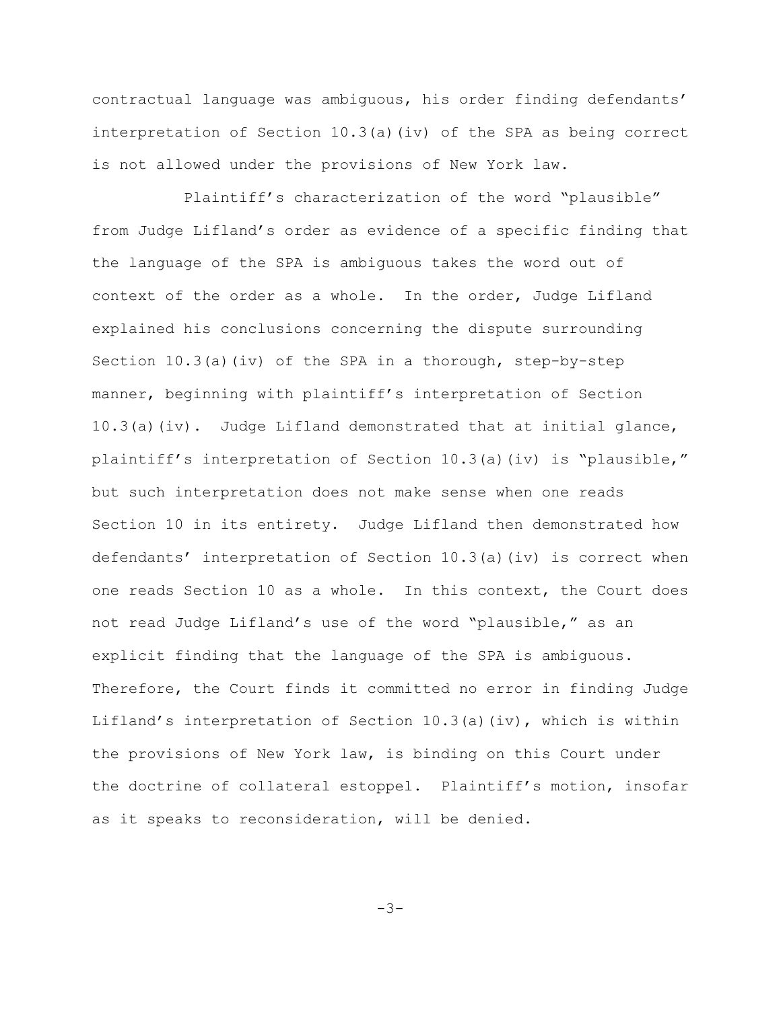contractual language was ambiguous, his order finding defendants' interpretation of Section 10.3(a)(iv) of the SPA as being correct is not allowed under the provisions of New York law.

Plaintiff's characterization of the word "plausible" from Judge Lifland's order as evidence of a specific finding that the language of the SPA is ambiguous takes the word out of context of the order as a whole. In the order, Judge Lifland explained his conclusions concerning the dispute surrounding Section  $10.3(a)$  (iv) of the SPA in a thorough, step-by-step manner, beginning with plaintiff's interpretation of Section  $10.3(a)(iv)$ . Judge Lifland demonstrated that at initial glance, plaintiff's interpretation of Section 10.3(a)(iv) is "plausible," but such interpretation does not make sense when one reads Section 10 in its entirety. Judge Lifland then demonstrated how defendants' interpretation of Section 10.3(a)(iv) is correct when one reads Section 10 as a whole. In this context, the Court does not read Judge Lifland's use of the word "plausible," as an explicit finding that the language of the SPA is ambiguous. Therefore, the Court finds it committed no error in finding Judge Lifland's interpretation of Section 10.3(a)(iv), which is within the provisions of New York law, is binding on this Court under the doctrine of collateral estoppel. Plaintiff's motion, insofar as it speaks to reconsideration, will be denied.

 $-3-$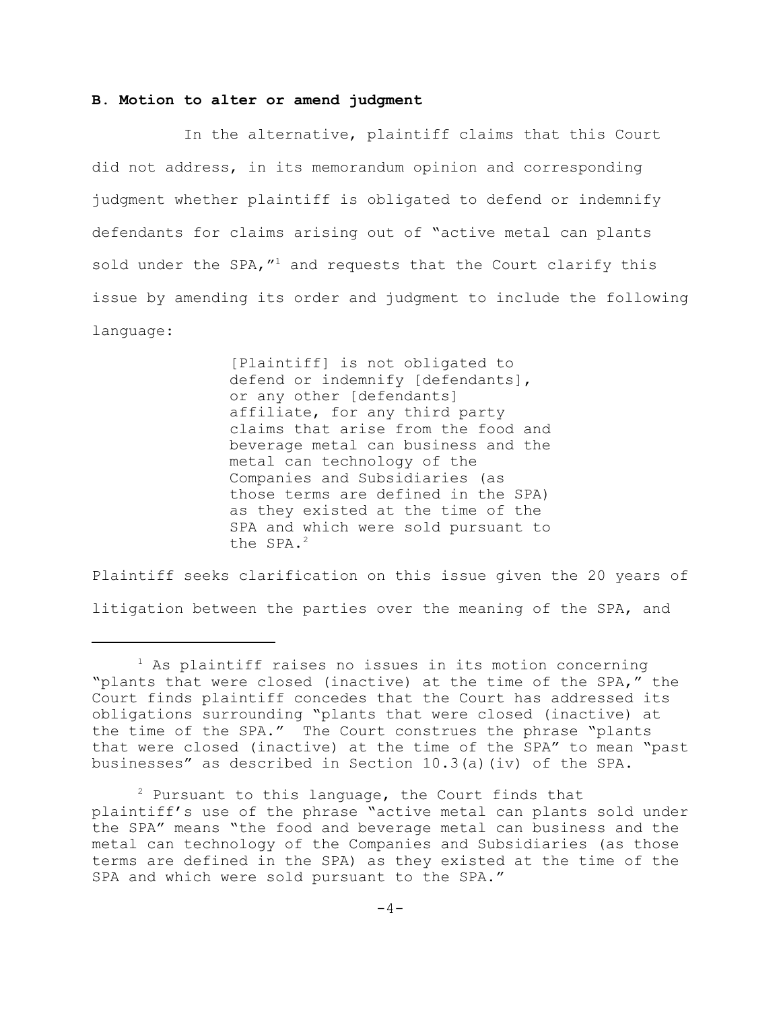# **B. Motion to alter or amend judgment**

In the alternative, plaintiff claims that this Court did not address, in its memorandum opinion and corresponding judgment whether plaintiff is obligated to defend or indemnify defendants for claims arising out of "active metal can plants sold under the SPA,  $''^1$  and requests that the Court clarify this issue by amending its order and judgment to include the following language:

> [Plaintiff] is not obligated to defend or indemnify [defendants], or any other [defendants] affiliate, for any third party claims that arise from the food and beverage metal can business and the metal can technology of the Companies and Subsidiaries (as those terms are defined in the SPA) as they existed at the time of the SPA and which were sold pursuant to the SPA.<sup>2</sup>

Plaintiff seeks clarification on this issue given the 20 years of litigation between the parties over the meaning of the SPA, and

 $1$  As plaintiff raises no issues in its motion concerning "plants that were closed (inactive) at the time of the SPA," the Court finds plaintiff concedes that the Court has addressed its obligations surrounding "plants that were closed (inactive) at the time of the SPA." The Court construes the phrase "plants that were closed (inactive) at the time of the SPA" to mean "past businesses" as described in Section 10.3(a)(iv) of the SPA.

 $2$  Pursuant to this language, the Court finds that plaintiff's use of the phrase "active metal can plants sold under the SPA" means "the food and beverage metal can business and the metal can technology of the Companies and Subsidiaries (as those terms are defined in the SPA) as they existed at the time of the SPA and which were sold pursuant to the SPA."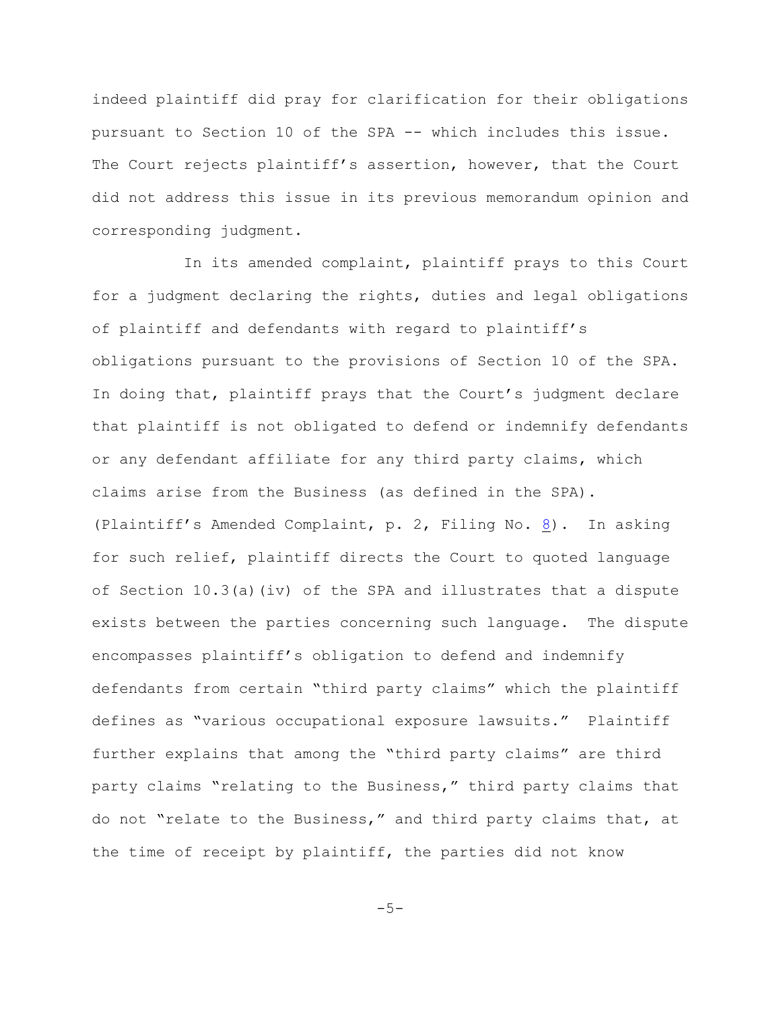indeed plaintiff did pray for clarification for their obligations pursuant to Section 10 of the SPA -- which includes this issue. The Court rejects plaintiff's assertion, however, that the Court did not address this issue in its previous memorandum opinion and corresponding judgment.

In its amended complaint, plaintiff prays to this Court for a judgment declaring the rights, duties and legal obligations of plaintiff and defendants with regard to plaintiff's obligations pursuant to the provisions of Section 10 of the SPA. In doing that, plaintiff prays that the Court's judgment declare that plaintiff is not obligated to defend or indemnify defendants or any defendant affiliate for any third party claims, which claims arise from the Business (as defined in the SPA). (Plaintiff's Amended Complaint, p. 2, Filing No.  $8$ ). In asking for such relief, plaintiff directs the Court to quoted language of Section  $10.3(a)$  (iv) of the SPA and illustrates that a dispute exists between the parties concerning such language. The dispute encompasses plaintiff's obligation to defend and indemnify defendants from certain "third party claims" which the plaintiff defines as "various occupational exposure lawsuits." Plaintiff further explains that among the "third party claims" are third party claims "relating to the Business," third party claims that do not "relate to the Business," and third party claims that, at the time of receipt by plaintiff, the parties did not know

 $-5-$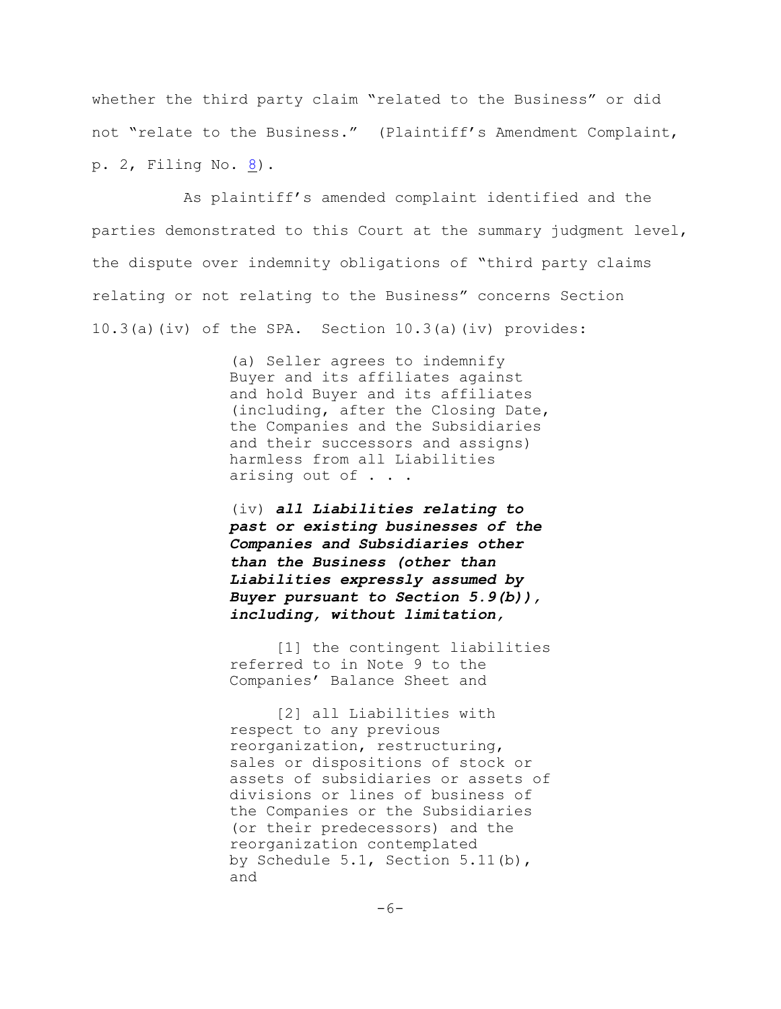whether the third party claim "related to the Business" or did not "relate to the Business." (Plaintiff's Amendment Complaint, p. 2, Filing No. [8](http://ecf.ned.uscourts.gov/doc1/11301876685)).

As plaintiff's amended complaint identified and the parties demonstrated to this Court at the summary judgment level, the dispute over indemnity obligations of "third party claims relating or not relating to the Business" concerns Section 10.3(a)(iv) of the SPA. Section 10.3(a)(iv) provides:

> (a) Seller agrees to indemnify Buyer and its affiliates against and hold Buyer and its affiliates (including, after the Closing Date, the Companies and the Subsidiaries and their successors and assigns) harmless from all Liabilities arising out of . . .

(iv) *all Liabilities relating to past or existing businesses of the Companies and Subsidiaries other than the Business (other than Liabilities expressly assumed by Buyer pursuant to Section 5.9(b)), including, without limitation,*

[1] the contingent liabilities referred to in Note 9 to the Companies' Balance Sheet and

[2] all Liabilities with respect to any previous reorganization, restructuring, sales or dispositions of stock or assets of subsidiaries or assets of divisions or lines of business of the Companies or the Subsidiaries (or their predecessors) and the reorganization contemplated by Schedule 5.1, Section 5.11(b), and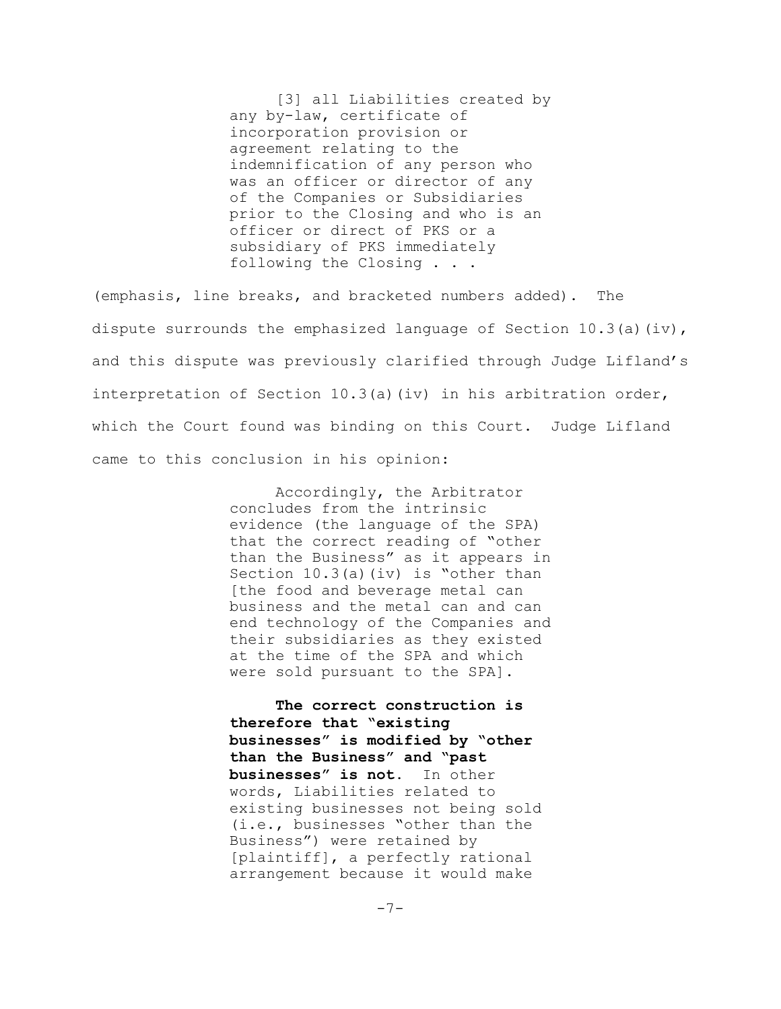[3] all Liabilities created by any by-law, certificate of incorporation provision or agreement relating to the indemnification of any person who was an officer or director of any of the Companies or Subsidiaries prior to the Closing and who is an officer or direct of PKS or a subsidiary of PKS immediately following the Closing . . .

(emphasis, line breaks, and bracketed numbers added). The dispute surrounds the emphasized language of Section  $10.3(a)(iv)$ , and this dispute was previously clarified through Judge Lifland's interpretation of Section 10.3(a)(iv) in his arbitration order, which the Court found was binding on this Court. Judge Lifland came to this conclusion in his opinion:

> Accordingly, the Arbitrator concludes from the intrinsic evidence (the language of the SPA) that the correct reading of "other than the Business" as it appears in Section  $10.3(a)(iv)$  is "other than [the food and beverage metal can business and the metal can and can end technology of the Companies and their subsidiaries as they existed at the time of the SPA and which were sold pursuant to the SPA].

**The correct construction is therefore that "existing businesses" is modified by "other than the Business" and "past businesses" is not.** In other words, Liabilities related to existing businesses not being sold (i.e., businesses "other than the Business") were retained by [plaintiff], a perfectly rational arrangement because it would make

 $-7-$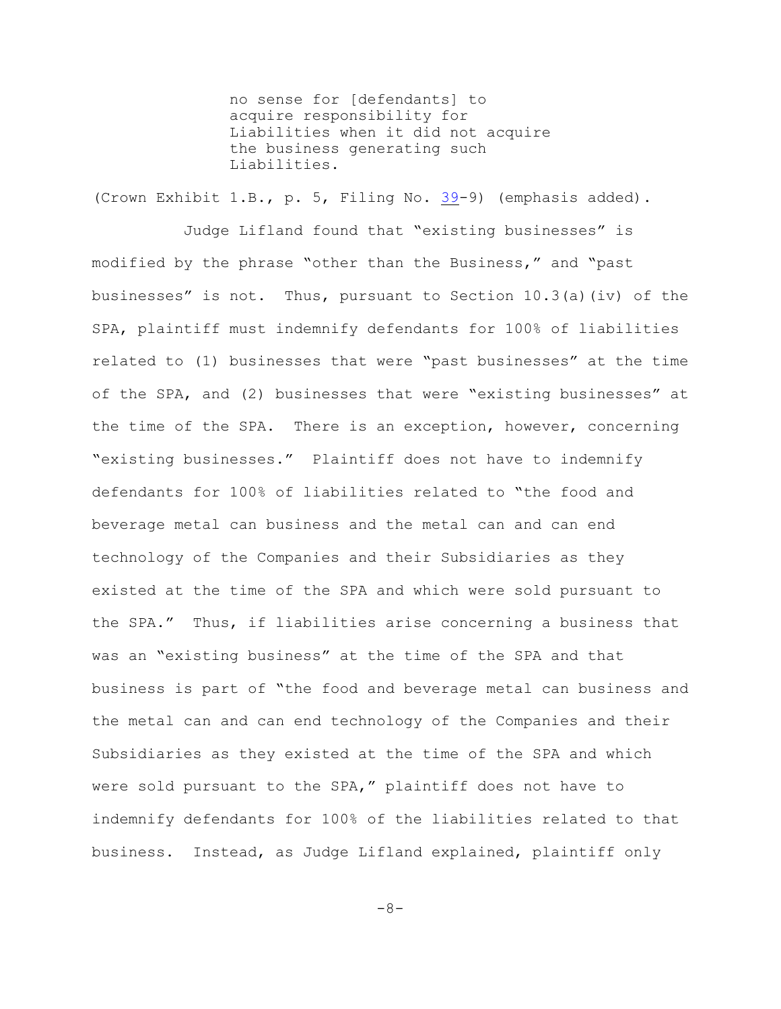no sense for [defendants] to acquire responsibility for Liabilities when it did not acquire the business generating such Liabilities.

(Crown Exhibit 1.B., p. 5, Filing No. [39](http://ecf.ned.uscourts.gov/doc1/11302154629)-9) (emphasis added).

Judge Lifland found that "existing businesses" is modified by the phrase "other than the Business," and "past businesses" is not. Thus, pursuant to Section  $10.3(a)$  (iv) of the SPA, plaintiff must indemnify defendants for 100% of liabilities related to (1) businesses that were "past businesses" at the time of the SPA, and (2) businesses that were "existing businesses" at the time of the SPA. There is an exception, however, concerning "existing businesses." Plaintiff does not have to indemnify defendants for 100% of liabilities related to "the food and beverage metal can business and the metal can and can end technology of the Companies and their Subsidiaries as they existed at the time of the SPA and which were sold pursuant to the SPA." Thus, if liabilities arise concerning a business that was an "existing business" at the time of the SPA and that business is part of "the food and beverage metal can business and the metal can and can end technology of the Companies and their Subsidiaries as they existed at the time of the SPA and which were sold pursuant to the SPA," plaintiff does not have to indemnify defendants for 100% of the liabilities related to that business. Instead, as Judge Lifland explained, plaintiff only

-8-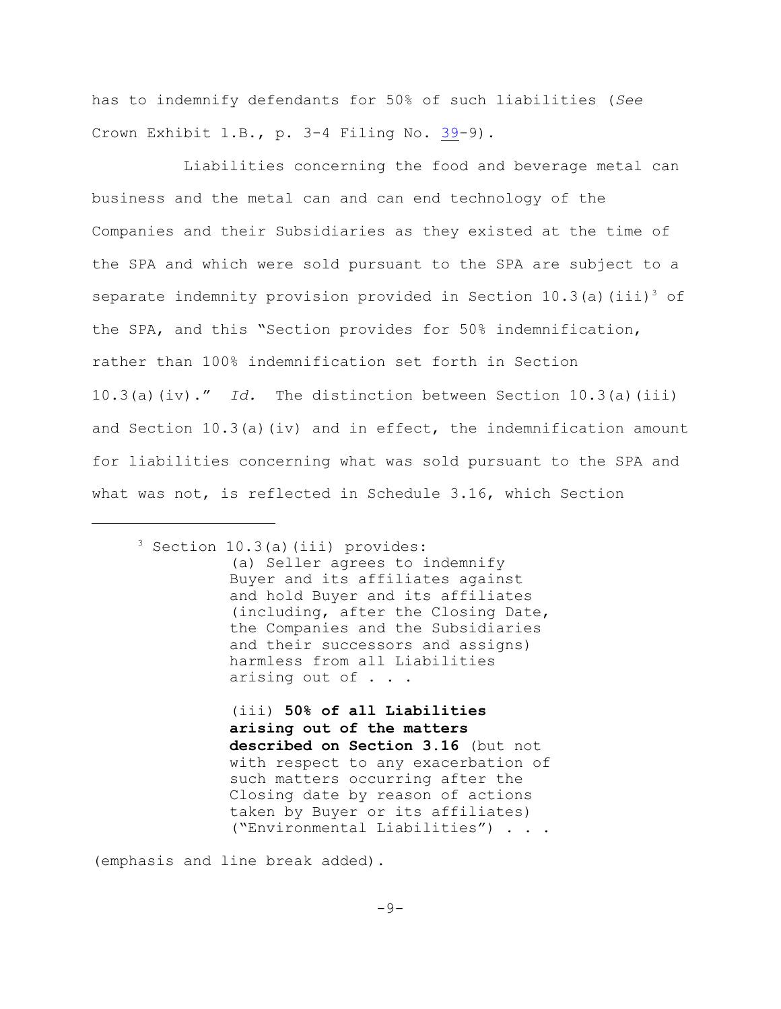has to indemnify defendants for 50% of such liabilities (*See* Crown Exhibit 1.B., p. 3-4 Filing No. [39](http://ecf.ned.uscourts.gov/doc1/11302154629)-9).

Liabilities concerning the food and beverage metal can business and the metal can and can end technology of the Companies and their Subsidiaries as they existed at the time of the SPA and which were sold pursuant to the SPA are subject to a separate indemnity provision provided in Section 10.3(a)(iii)<sup>3</sup> of the SPA, and this "Section provides for 50% indemnification, rather than 100% indemnification set forth in Section 10.3(a)(iv)." *Id.* The distinction between Section 10.3(a)(iii) and Section  $10.3(a)$  (iv) and in effect, the indemnification amount for liabilities concerning what was sold pursuant to the SPA and what was not, is reflected in Schedule 3.16, which Section

(iii) **50% of all Liabilities arising out of the matters described on Section 3.16** (but not with respect to any exacerbation of such matters occurring after the Closing date by reason of actions taken by Buyer or its affiliates) ("Environmental Liabilities") . . .

(emphasis and line break added).

 $3$  Section 10.3(a)(iii) provides: (a) Seller agrees to indemnify Buyer and its affiliates against and hold Buyer and its affiliates (including, after the Closing Date, the Companies and the Subsidiaries and their successors and assigns) harmless from all Liabilities arising out of . . .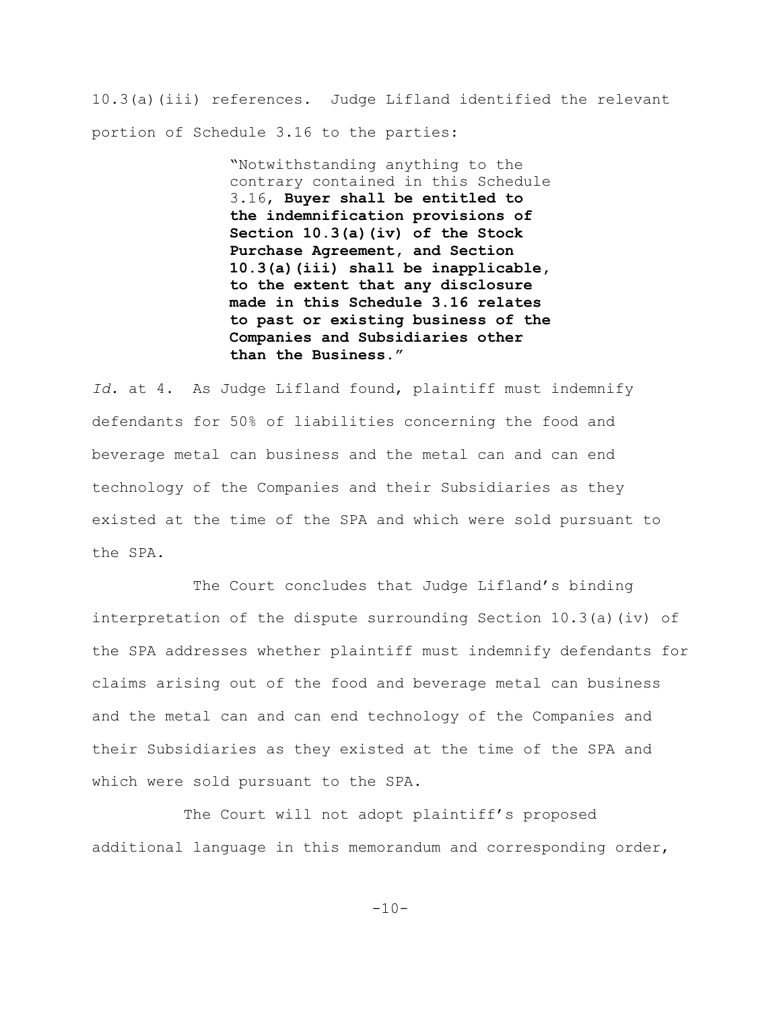10.3(a)(iii) references. Judge Lifland identified the relevant portion of Schedule 3.16 to the parties:

> "Notwithstanding anything to the contrary contained in this Schedule 3.16, **Buyer shall be entitled to the indemnification provisions of Section 10.3(a)(iv) of the Stock Purchase Agreement, and Section 10.3(a)(iii) shall be inapplicable, to the extent that any disclosure made in this Schedule 3.16 relates to past or existing business of the Companies and Subsidiaries other than the Business."**

*Id.* at 4. As Judge Lifland found, plaintiff must indemnify defendants for 50% of liabilities concerning the food and beverage metal can business and the metal can and can end technology of the Companies and their Subsidiaries as they existed at the time of the SPA and which were sold pursuant to the SPA.

 The Court concludes that Judge Lifland's binding interpretation of the dispute surrounding Section  $10.3(a)(iv)$  of the SPA addresses whether plaintiff must indemnify defendants for claims arising out of the food and beverage metal can business and the metal can and can end technology of the Companies and their Subsidiaries as they existed at the time of the SPA and which were sold pursuant to the SPA.

The Court will not adopt plaintiff's proposed additional language in this memorandum and corresponding order,

 $-10-$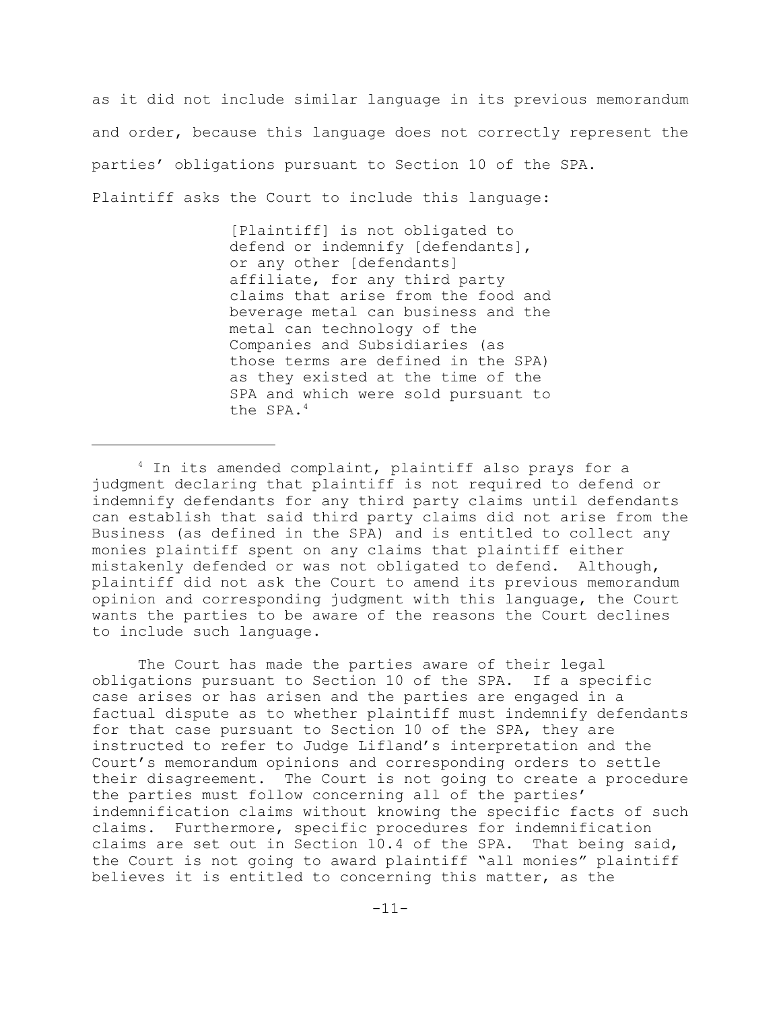as it did not include similar language in its previous memorandum and order, because this language does not correctly represent the parties' obligations pursuant to Section 10 of the SPA. Plaintiff asks the Court to include this language:

> [Plaintiff] is not obligated to defend or indemnify [defendants], or any other [defendants] affiliate, for any third party claims that arise from the food and beverage metal can business and the metal can technology of the Companies and Subsidiaries (as those terms are defined in the SPA) as they existed at the time of the SPA and which were sold pursuant to the SPA. 4

The Court has made the parties aware of their legal obligations pursuant to Section 10 of the SPA. If a specific case arises or has arisen and the parties are engaged in a factual dispute as to whether plaintiff must indemnify defendants for that case pursuant to Section 10 of the SPA, they are instructed to refer to Judge Lifland's interpretation and the Court's memorandum opinions and corresponding orders to settle their disagreement. The Court is not going to create a procedure the parties must follow concerning all of the parties' indemnification claims without knowing the specific facts of such claims. Furthermore, specific procedures for indemnification claims are set out in Section 10.4 of the SPA. That being said, the Court is not going to award plaintiff "all monies" plaintiff believes it is entitled to concerning this matter, as the

 $4$  In its amended complaint, plaintiff also prays for a judgment declaring that plaintiff is not required to defend or indemnify defendants for any third party claims until defendants can establish that said third party claims did not arise from the Business (as defined in the SPA) and is entitled to collect any monies plaintiff spent on any claims that plaintiff either mistakenly defended or was not obligated to defend. Although, plaintiff did not ask the Court to amend its previous memorandum opinion and corresponding judgment with this language, the Court wants the parties to be aware of the reasons the Court declines to include such language.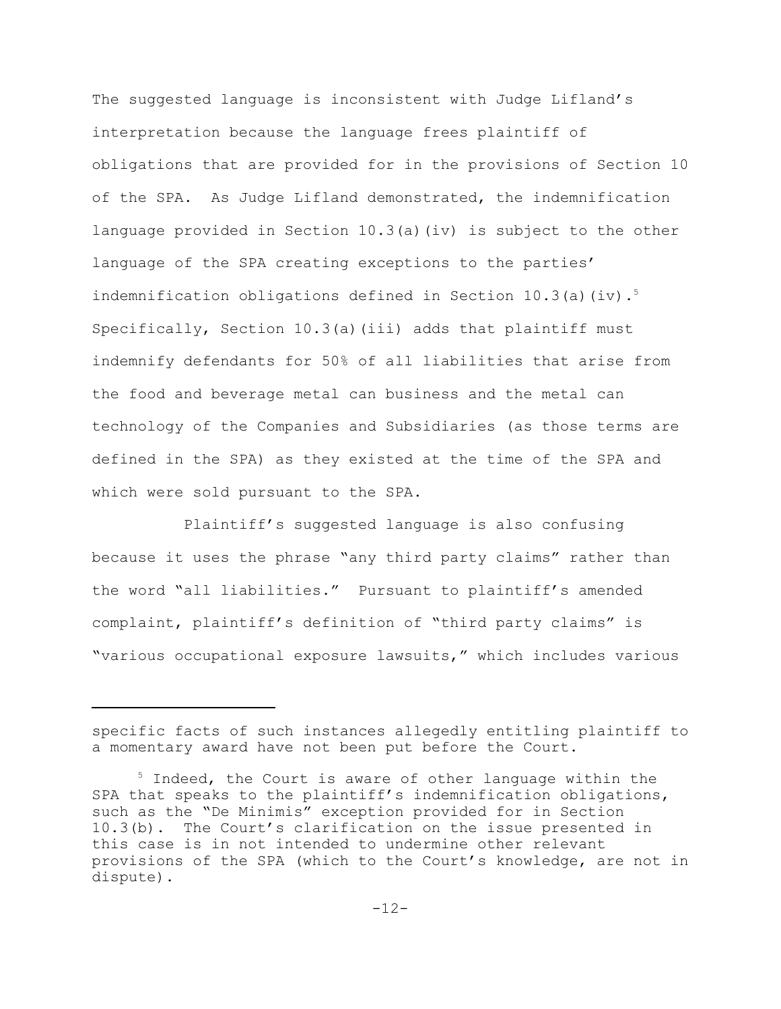The suggested language is inconsistent with Judge Lifland's interpretation because the language frees plaintiff of obligations that are provided for in the provisions of Section 10 of the SPA. As Judge Lifland demonstrated, the indemnification language provided in Section 10.3(a)(iv) is subject to the other language of the SPA creating exceptions to the parties' indemnification obligations defined in Section 10.3(a)(iv).<sup>5</sup> Specifically, Section  $10.3(a)$  (iii) adds that plaintiff must indemnify defendants for 50% of all liabilities that arise from the food and beverage metal can business and the metal can technology of the Companies and Subsidiaries (as those terms are defined in the SPA) as they existed at the time of the SPA and which were sold pursuant to the SPA.

Plaintiff's suggested language is also confusing because it uses the phrase "any third party claims" rather than the word "all liabilities." Pursuant to plaintiff's amended complaint, plaintiff's definition of "third party claims" is "various occupational exposure lawsuits," which includes various

specific facts of such instances allegedly entitling plaintiff to a momentary award have not been put before the Court.

 $5$  Indeed, the Court is aware of other language within the SPA that speaks to the plaintiff's indemnification obligations, such as the "De Minimis" exception provided for in Section 10.3(b). The Court's clarification on the issue presented in this case is in not intended to undermine other relevant provisions of the SPA (which to the Court's knowledge, are not in dispute).